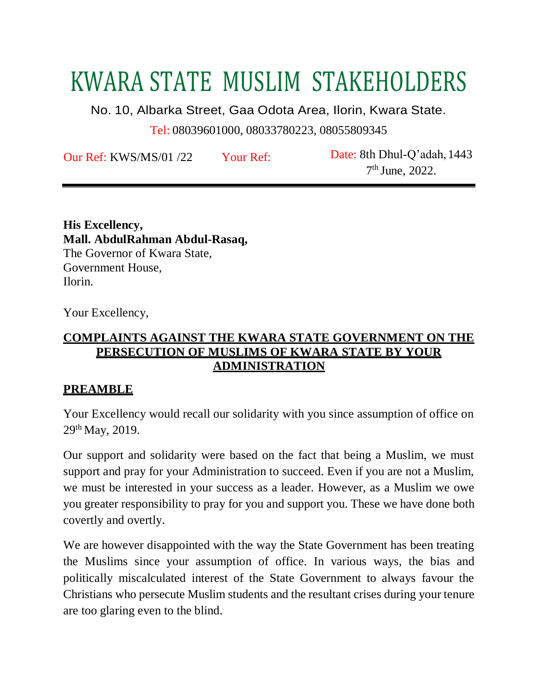# KWARA STATE MUSLIM STAKEHOLDERS

No. 10, Albarka Street, Gaa Odota Area, Ilorin, Kwara State.

Tel: 08039601000, 08033780223, 08055809345

Our Ref: KWS/MS/01 /22 Your Ref: Date: 8th Dhul-Q'adah, 1443

7 th June, 2022.

**His Excellency, Mall. AbdulRahman Abdul-Rasaq,** The Governor of Kwara State, Government House, Ilorin.

Your Excellency,

#### **COMPLAINTS AGAINST THE KWARA STATE GOVERNMENT ON THE PERSECUTION OF MUSLIMS OF KWARA STATE BY YOUR ADMINISTRATION**

#### **PREAMBLE**

Your Excellency would recall our solidarity with you since assumption of office on 29th May, 2019.

Our support and solidarity were based on the fact that being a Muslim, we must support and pray for your Administration to succeed. Even if you are not a Muslim, we must be interested in your success as a leader. However, as a Muslim we owe you greater responsibility to pray for you and support you. These we have done both covertly and overtly.

We are however disappointed with the way the State Government has been treating the Muslims since your assumption of office. In various ways, the bias and politically miscalculated interest of the State Government to always favour the Christians who persecute Muslim students and the resultant crises during your tenure are too glaring even to the blind.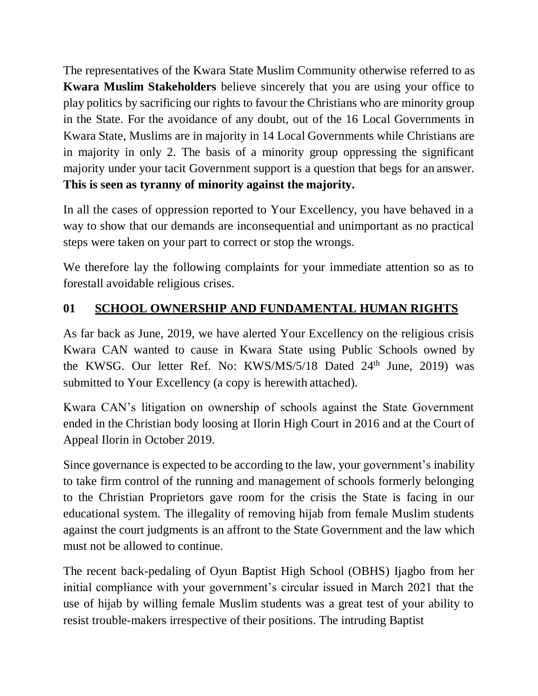The representatives of the Kwara State Muslim Community otherwise referred to as **Kwara Muslim Stakeholders** believe sincerely that you are using your office to play politics by sacrificing our rights to favour the Christians who are minority group in the State. For the avoidance of any doubt, out of the 16 Local Governments in Kwara State, Muslims are in majority in 14 Local Governments while Christians are in majority in only 2. The basis of a minority group oppressing the significant majority under your tacit Government support is a question that begs for an answer. **This is seen as tyranny of minority against the majority.**

In all the cases of oppression reported to Your Excellency, you have behaved in a way to show that our demands are inconsequential and unimportant as no practical steps were taken on your part to correct or stop the wrongs.

We therefore lay the following complaints for your immediate attention so as to forestall avoidable religious crises.

# **01 SCHOOL OWNERSHIP AND FUNDAMENTAL HUMAN RIGHTS**

As far back as June, 2019, we have alerted Your Excellency on the religious crisis Kwara CAN wanted to cause in Kwara State using Public Schools owned by the KWSG. Our letter Ref. No: KWS/MS/5/18 Dated  $24<sup>th</sup>$  June, 2019) was submitted to Your Excellency (a copy is herewith attached).

Kwara CAN's litigation on ownership of schools against the State Government ended in the Christian body loosing at Ilorin High Court in 2016 and at the Court of Appeal Ilorin in October 2019.

Since governance is expected to be according to the law, your government's inability to take firm control of the running and management of schools formerly belonging to the Christian Proprietors gave room for the crisis the State is facing in our educational system. The illegality of removing hijab from female Muslim students against the court judgments is an affront to the State Government and the law which must not be allowed to continue.

The recent back-pedaling of Oyun Baptist High School (OBHS) Ijagbo from her initial compliance with your government's circular issued in March 2021 that the use of hijab by willing female Muslim students was a great test of your ability to resist trouble-makers irrespective of their positions. The intruding Baptist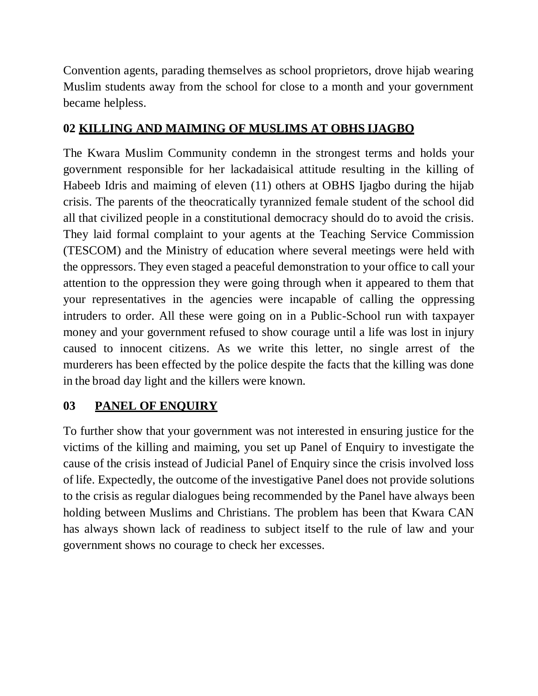Convention agents, parading themselves as school proprietors, drove hijab wearing Muslim students away from the school for close to a month and your government became helpless.

## **02 KILLING AND MAIMING OF MUSLIMS AT OBHS IJAGBO**

The Kwara Muslim Community condemn in the strongest terms and holds your government responsible for her lackadaisical attitude resulting in the killing of Habeeb Idris and maiming of eleven (11) others at OBHS Ijagbo during the hijab crisis. The parents of the theocratically tyrannized female student of the school did all that civilized people in a constitutional democracy should do to avoid the crisis. They laid formal complaint to your agents at the Teaching Service Commission (TESCOM) and the Ministry of education where several meetings were held with the oppressors. They even staged a peaceful demonstration to your office to call your attention to the oppression they were going through when it appeared to them that your representatives in the agencies were incapable of calling the oppressing intruders to order. All these were going on in a Public-School run with taxpayer money and your government refused to show courage until a life was lost in injury caused to innocent citizens. As we write this letter, no single arrest of the murderers has been effected by the police despite the facts that the killing was done in the broad day light and the killers were known.

# **03 PANEL OF ENQUIRY**

To further show that your government was not interested in ensuring justice for the victims of the killing and maiming, you set up Panel of Enquiry to investigate the cause of the crisis instead of Judicial Panel of Enquiry since the crisis involved loss of life. Expectedly, the outcome of the investigative Panel does not provide solutions to the crisis as regular dialogues being recommended by the Panel have always been holding between Muslims and Christians. The problem has been that Kwara CAN has always shown lack of readiness to subject itself to the rule of law and your government shows no courage to check her excesses.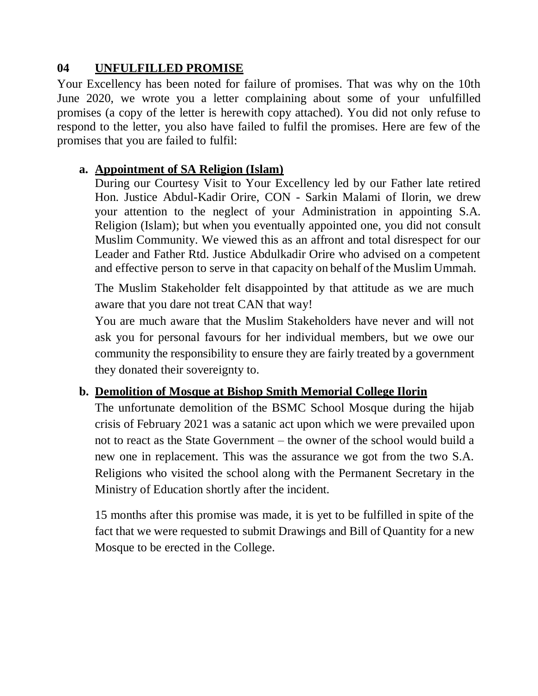## **04 UNFULFILLED PROMISE**

Your Excellency has been noted for failure of promises. That was why on the 10th June 2020, we wrote you a letter complaining about some of your unfulfilled promises (a copy of the letter is herewith copy attached). You did not only refuse to respond to the letter, you also have failed to fulfil the promises. Here are few of the promises that you are failed to fulfil:

## **a. Appointment of SA Religion (Islam)**

During our Courtesy Visit to Your Excellency led by our Father late retired Hon. Justice Abdul-Kadir Orire, CON - Sarkin Malami of Ilorin, we drew your attention to the neglect of your Administration in appointing S.A. Religion (Islam); but when you eventually appointed one, you did not consult Muslim Community. We viewed this as an affront and total disrespect for our Leader and Father Rtd. Justice Abdulkadir Orire who advised on a competent and effective person to serve in that capacity on behalf of the Muslim Ummah.

The Muslim Stakeholder felt disappointed by that attitude as we are much aware that you dare not treat CAN that way!

You are much aware that the Muslim Stakeholders have never and will not ask you for personal favours for her individual members, but we owe our community the responsibility to ensure they are fairly treated by a government they donated their sovereignty to.

## **b. Demolition of Mosque at Bishop Smith Memorial College Ilorin**

The unfortunate demolition of the BSMC School Mosque during the hijab crisis of February 2021 was a satanic act upon which we were prevailed upon not to react as the State Government – the owner of the school would build a new one in replacement. This was the assurance we got from the two S.A. Religions who visited the school along with the Permanent Secretary in the Ministry of Education shortly after the incident.

15 months after this promise was made, it is yet to be fulfilled in spite of the fact that we were requested to submit Drawings and Bill of Quantity for a new Mosque to be erected in the College.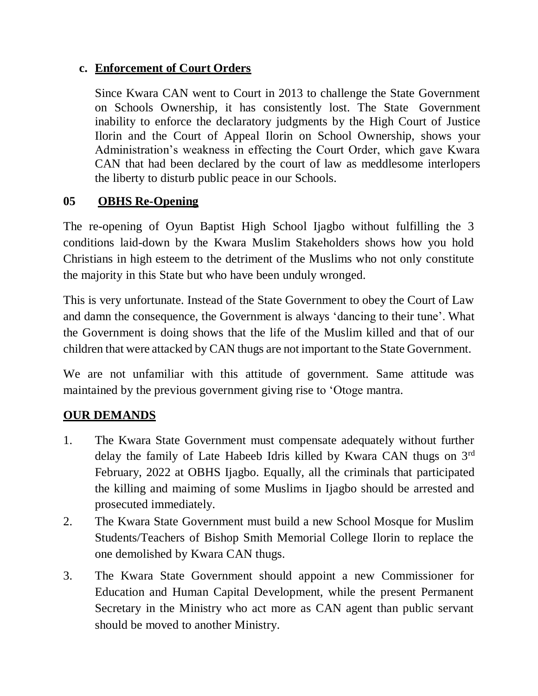#### **c. Enforcement of Court Orders**

Since Kwara CAN went to Court in 2013 to challenge the State Government on Schools Ownership, it has consistently lost. The State Government inability to enforce the declaratory judgments by the High Court of Justice Ilorin and the Court of Appeal Ilorin on School Ownership, shows your Administration's weakness in effecting the Court Order, which gave Kwara CAN that had been declared by the court of law as meddlesome interlopers the liberty to disturb public peace in our Schools.

#### **05 OBHS Re-Opening**

The re-opening of Oyun Baptist High School Ijagbo without fulfilling the 3 conditions laid-down by the Kwara Muslim Stakeholders shows how you hold Christians in high esteem to the detriment of the Muslims who not only constitute the majority in this State but who have been unduly wronged.

This is very unfortunate. Instead of the State Government to obey the Court of Law and damn the consequence, the Government is always 'dancing to their tune'. What the Government is doing shows that the life of the Muslim killed and that of our children that were attacked by CAN thugs are not important to the State Government.

We are not unfamiliar with this attitude of government. Same attitude was maintained by the previous government giving rise to 'Otoge mantra.

## **OUR DEMANDS**

- 1. The Kwara State Government must compensate adequately without further delay the family of Late Habeeb Idris killed by Kwara CAN thugs on 3rd February, 2022 at OBHS Ijagbo. Equally, all the criminals that participated the killing and maiming of some Muslims in Ijagbo should be arrested and prosecuted immediately.
- 2. The Kwara State Government must build a new School Mosque for Muslim Students/Teachers of Bishop Smith Memorial College Ilorin to replace the one demolished by Kwara CAN thugs.
- 3. The Kwara State Government should appoint a new Commissioner for Education and Human Capital Development, while the present Permanent Secretary in the Ministry who act more as CAN agent than public servant should be moved to another Ministry.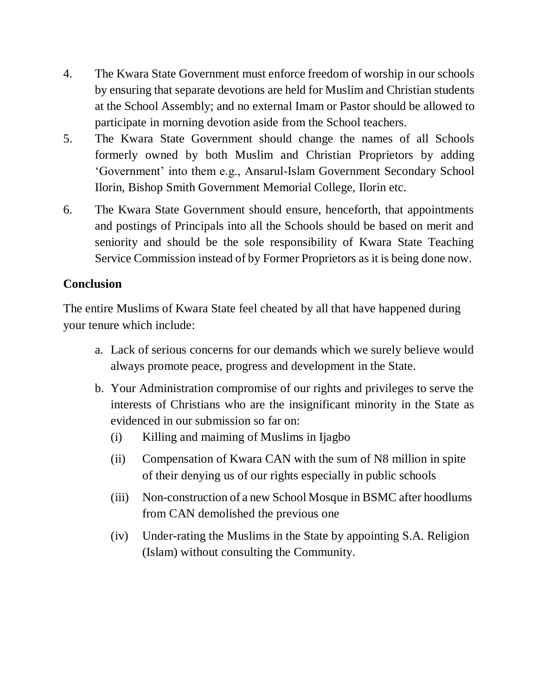- 4. The Kwara State Government must enforce freedom of worship in our schools by ensuring that separate devotions are held for Muslim and Christian students at the School Assembly; and no external Imam or Pastor should be allowed to participate in morning devotion aside from the School teachers.
- 5. The Kwara State Government should change the names of all Schools formerly owned by both Muslim and Christian Proprietors by adding 'Government' into them e.g., Ansarul-Islam Government Secondary School Ilorin, Bishop Smith Government Memorial College, Ilorin etc.
- 6. The Kwara State Government should ensure, henceforth, that appointments and postings of Principals into all the Schools should be based on merit and seniority and should be the sole responsibility of Kwara State Teaching Service Commission instead of by Former Proprietors as it is being done now.

## **Conclusion**

The entire Muslims of Kwara State feel cheated by all that have happened during your tenure which include:

- a. Lack of serious concerns for our demands which we surely believe would always promote peace, progress and development in the State.
- b. Your Administration compromise of our rights and privileges to serve the interests of Christians who are the insignificant minority in the State as evidenced in our submission so far on:
	- (i) Killing and maiming of Muslims in Ijagbo
	- (ii) Compensation of Kwara CAN with the sum of N8 million in spite of their denying us of our rights especially in public schools
	- (iii) Non-construction of a new School Mosque in BSMC after hoodlums from CAN demolished the previous one
	- (iv) Under-rating the Muslims in the State by appointing S.A. Religion (Islam) without consulting the Community.